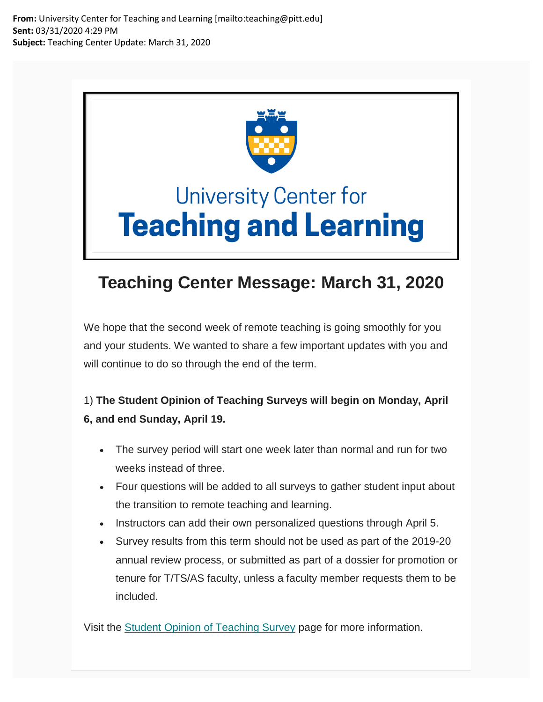

## **University Center for Teaching and Learning**

## **Teaching Center Message: March 31, 2020**

We hope that the second week of remote teaching is going smoothly for you and your students. We wanted to share a few important updates with you and will continue to do so through the end of the term.

## 1) **The Student Opinion of Teaching Surveys will begin on Monday, April 6, and end Sunday, April 19.**

- The survey period will start one week later than normal and run for two weeks instead of three.
- Four questions will be added to all surveys to gather student input about the transition to remote teaching and learning.
- Instructors can add their own personalized questions through April 5.
- Survey results from this term should not be used as part of the 2019-20 annual review process, or submitted as part of a dossier for promotion or tenure for T/TS/AS faculty, unless a faculty member requests them to be included.

Visit the [Student Opinion of Teaching Survey](https://nam05.safelinks.protection.outlook.com/?url=https%3A%2F%2Fpitt.us11.list-manage.com%2Ftrack%2Fclick%3Fu%3D7ffe6d64cc382ff1672f20448%26id%3De5d86c8c78%26e%3Dde6041e250&data=02%7C01%7Cjoeg%40pitt.edu%7Cf8c14a4c3ba84b6336c708d7d5b54e41%7C9ef9f489e0a04eeb87cc3a526112fd0d%7C1%7C0%7C637212846991410206&sdata=9wYIzmlQ%2FfnwPwP%2B4mWsXvYqJ7EWPqIur%2Bq9dhEbZBY%3D&reserved=0) page for more information.